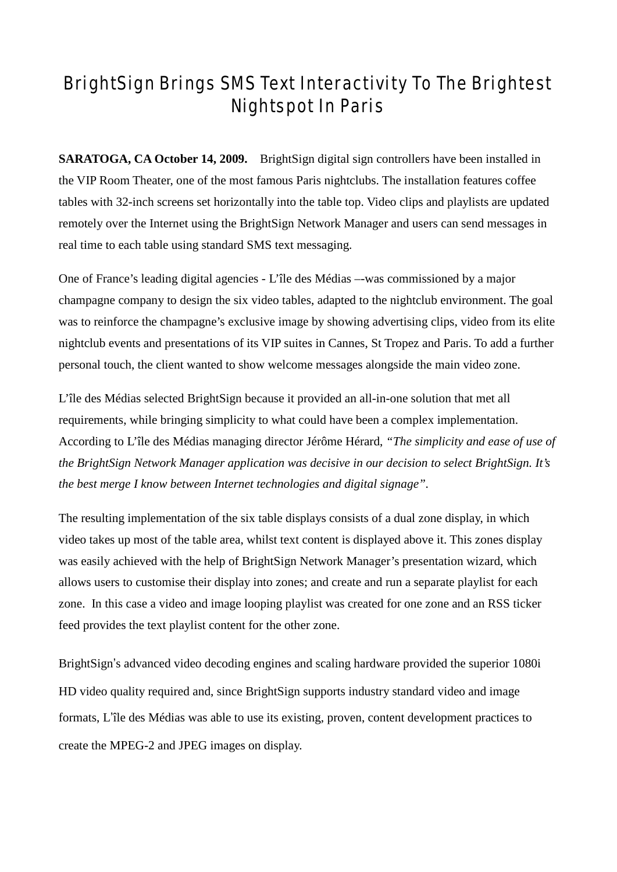# BrightSign Brings SMS Text Interactivity To The Brightest Nightspot In Paris

**SARATOGA, CA October 14, 2009.** BrightSign digital sign controllers have been installed in the VIP Room Theater, one of the most famous Paris nightclubs. The installation features coffee tables with 32-inch screens set horizontally into the table top. Video clips and playlists are updated remotely over the Internet using the BrightSign Network Manager and users can send messages in real time to each table using standard SMS text messaging.

One of France's leading digital agencies - L'île des Médias –-was commissioned by a major champagne company to design the six video tables, adapted to the nightclub environment. The goal was to reinforce the champagne's exclusive image by showing advertising clips, video from its elite nightclub events and presentations of its VIP suites in Cannes, St Tropez and Paris. To add a further personal touch, the client wanted to show welcome messages alongside the main video zone.

L'île des Médias selected BrightSign because it provided an all-in-one solution that met all requirements, while bringing simplicity to what could have been a complex implementation. According to L'île des Médias managing director Jérôme Hérard, *"The simplicity and ease of use of the BrightSign Network Manager application was decisive in our decision to select BrightSign. It's the best merge I know between Internet technologies and digital signage".*

The resulting implementation of the six table displays consists of a dual zone display, in which video takes up most of the table area, whilst text content is displayed above it. This zones display was easily achieved with the help of BrightSign Network Manager's presentation wizard, which allows users to customise their display into zones; and create and run a separate playlist for each zone. In this case a video and image looping playlist was created for one zone and an RSS ticker feed provides the text playlist content for the other zone.

BrightSign's advanced video decoding engines and scaling hardware provided the superior 1080i HD video quality required and, since BrightSign supports industry standard video and image formats, L'île des Médias was able to use its existing, proven, content development practices to create the MPEG-2 and JPEG images on display.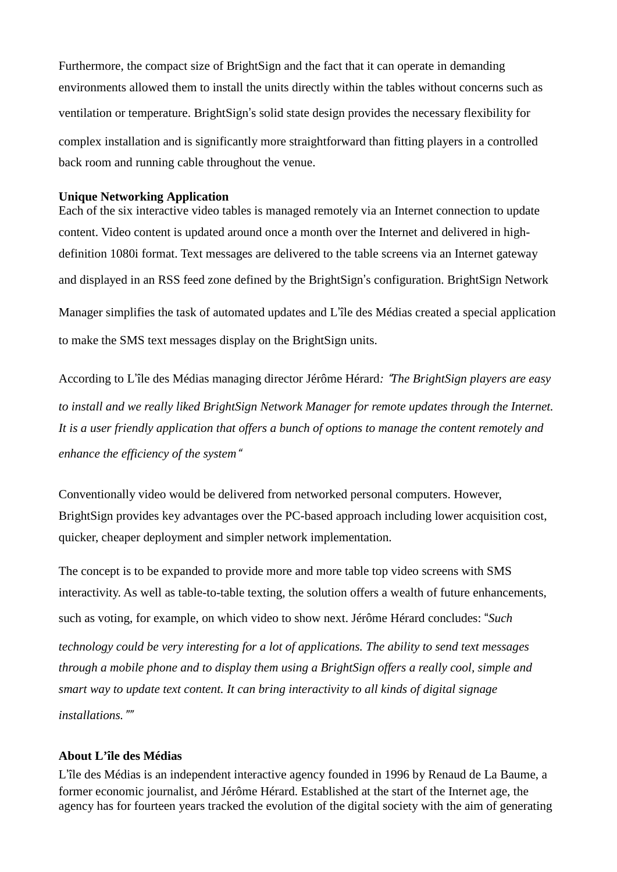Furthermore, the compact size of BrightSign and the fact that it can operate in demanding environments allowed them to install the units directly within the tables without concerns such as ventilation or temperature. BrightSign's solid state design provides the necessary flexibility for complex installation and is significantly more straightforward than fitting players in a controlled back room and running cable throughout the venue.

#### **Unique Networking Application**

Each of the six interactive video tables is managed remotely via an Internet connection to update content. Video content is updated around once a month over the Internet and delivered in highdefinition 1080i format. Text messages are delivered to the table screens via an Internet gateway and displayed in an RSS feed zone defined by the BrightSign's configuration. BrightSign Network Manager simplifies the task of automated updates and L'île des Médias created a special application to make the SMS text messages display on the BrightSign units.

According to L'île des Médias managing director Jérôme Hérard*:* "*The BrightSign players are easy to install and we really liked BrightSign Network Manager for remote updates through the Internet. It is a user friendly application that offers a bunch of options to manage the content remotely and enhance the efficiency of the system*"

Conventionally video would be delivered from networked personal computers. However, BrightSign provides key advantages over the PC-based approach including lower acquisition cost, quicker, cheaper deployment and simpler network implementation.

The concept is to be expanded to provide more and more table top video screens with SMS interactivity. As well as table-to-table texting, the solution offers a wealth of future enhancements, such as voting, for example, on which video to show next. Jérôme Hérard concludes: "*Such technology could be very interesting for a lot of applications. The ability to send text messages through a mobile phone and to display them using a BrightSign offers a really cool, simple and smart way to update text content. It can bring interactivity to all kinds of digital signage installations.*""

#### **About L'île des Médias**

L'île des Médias is an independent interactive agency founded in 1996 by Renaud de La Baume, a former economic journalist, and Jérôme Hérard. Established at the start of the Internet age, the agency has for fourteen years tracked the evolution of the digital society with the aim of generating